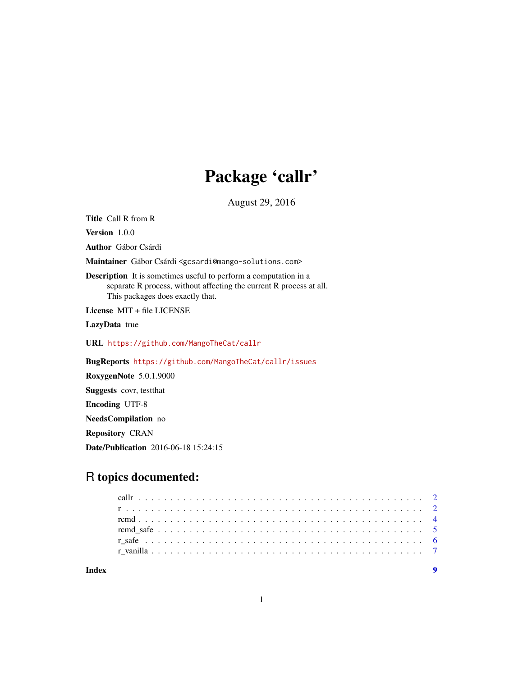## Package 'callr'

August 29, 2016

<span id="page-0-0"></span>Title Call R from R

Version 1.0.0

Author Gábor Csárdi

Maintainer Gábor Csárdi <gcsardi@mango-solutions.com>

Description It is sometimes useful to perform a computation in a separate R process, without affecting the current R process at all. This packages does exactly that.

License MIT + file LICENSE

LazyData true

URL <https://github.com/MangoTheCat/callr>

BugReports <https://github.com/MangoTheCat/callr/issues>

RoxygenNote 5.0.1.9000 Suggests covr, testthat Encoding UTF-8 NeedsCompilation no Repository CRAN

Date/Publication 2016-06-18 15:24:15

### R topics documented:

| Indev |  |  |  |  |  |  |  |  |  |  |  |  |  |  |  |  |  |  |  |  |  |
|-------|--|--|--|--|--|--|--|--|--|--|--|--|--|--|--|--|--|--|--|--|--|
|       |  |  |  |  |  |  |  |  |  |  |  |  |  |  |  |  |  |  |  |  |  |
|       |  |  |  |  |  |  |  |  |  |  |  |  |  |  |  |  |  |  |  |  |  |
|       |  |  |  |  |  |  |  |  |  |  |  |  |  |  |  |  |  |  |  |  |  |
|       |  |  |  |  |  |  |  |  |  |  |  |  |  |  |  |  |  |  |  |  |  |
|       |  |  |  |  |  |  |  |  |  |  |  |  |  |  |  |  |  |  |  |  |  |
|       |  |  |  |  |  |  |  |  |  |  |  |  |  |  |  |  |  |  |  |  |  |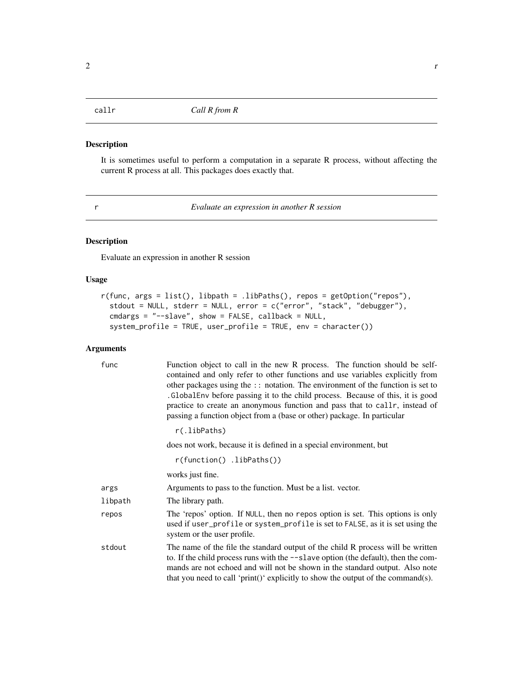<span id="page-1-0"></span>

#### Description

It is sometimes useful to perform a computation in a separate R process, without affecting the current R process at all. This packages does exactly that.

<span id="page-1-1"></span>

r *Evaluate an expression in another R session*

#### Description

Evaluate an expression in another R session

#### Usage

```
r(func, args = list(), libpath = .libPaths(), repos = getOption("repos"),
 stdout = NULL, stderr = NULL, error = c("error", "stack", "debugger"),
 cmdargs = "--slave", show = FALSE, callback = NULL,
 system_profile = TRUE, user_profile = TRUE, env = character())
```
#### Arguments

| func    | Function object to call in the new R process. The function should be self-<br>contained and only refer to other functions and use variables explicitly from<br>other packages using the :: notation. The environment of the function is set to<br>. Global Env before passing it to the child process. Because of this, it is good<br>practice to create an anonymous function and pass that to callr, instead of<br>passing a function object from a (base or other) package. In particular |
|---------|----------------------------------------------------------------------------------------------------------------------------------------------------------------------------------------------------------------------------------------------------------------------------------------------------------------------------------------------------------------------------------------------------------------------------------------------------------------------------------------------|
|         | r(.libPaths)                                                                                                                                                                                                                                                                                                                                                                                                                                                                                 |
|         | does not work, because it is defined in a special environment, but                                                                                                                                                                                                                                                                                                                                                                                                                           |
|         | $r(function()$ .libPaths())                                                                                                                                                                                                                                                                                                                                                                                                                                                                  |
|         | works just fine.                                                                                                                                                                                                                                                                                                                                                                                                                                                                             |
| args    | Arguments to pass to the function. Must be a list. vector.                                                                                                                                                                                                                                                                                                                                                                                                                                   |
| libpath | The library path.                                                                                                                                                                                                                                                                                                                                                                                                                                                                            |
| repos   | The 'repos' option. If NULL, then no repos option is set. This options is only<br>used if user_profile or system_profile is set to FALSE, as it is set using the<br>system or the user profile.                                                                                                                                                                                                                                                                                              |
| stdout  | The name of the file the standard output of the child R process will be written<br>to. If the child process runs with the --slave option (the default), then the com-<br>mands are not echoed and will not be shown in the standard output. Also note<br>that you need to call 'print()' explicitly to show the output of the command(s).                                                                                                                                                    |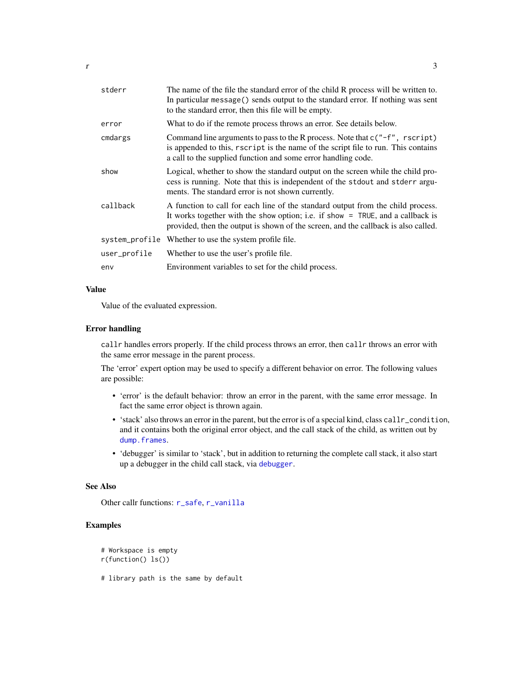<span id="page-2-0"></span>

| stderr   | The name of the file the standard error of the child R process will be written to.<br>In particular message () sends output to the standard error. If nothing was sent<br>to the standard error, then this file will be empty.       |
|----------|--------------------------------------------------------------------------------------------------------------------------------------------------------------------------------------------------------------------------------------|
| error    | What to do if the remote process throws an error. See details below.                                                                                                                                                                 |
| cmdargs  | Command line arguments to pass to the R process. Note that $c''$ -f", rscript)<br>is appended to this, rscript is the name of the script file to run. This contains<br>a call to the supplied function and some error handling code. |
| show     | Logical, whether to show the standard output on the screen while the child pro-<br>cess is running. Note that this is independent of the stdout and stderr argu-<br>ments. The standard error is not shown currently.                |
| callback | A function to call for each line of the standard output from the child process.<br>It works together with the show option; i.e. if show = TRUE, and a callback is                                                                    |

provided, then the output is shown of the screen, and the callback is also called. system\_profile Whether to use the system profile file. user\_profile Whether to use the user's profile file.

env Environment variables to set for the child process.

#### Value

Value of the evaluated expression.

#### Error handling

callr handles errors properly. If the child process throws an error, then callr throws an error with the same error message in the parent process.

The 'error' expert option may be used to specify a different behavior on error. The following values are possible:

- 'error' is the default behavior: throw an error in the parent, with the same error message. In fact the same error object is thrown again.
- 'stack' also throws an error in the parent, but the error is of a special kind, class callr\_condition, and it contains both the original error object, and the call stack of the child, as written out by [dump.frames](#page-0-0).
- 'debugger' is similar to 'stack', but in addition to returning the complete call stack, it also start up a debugger in the child call stack, via [debugger](#page-0-0).

#### See Also

Other callr functions: [r\\_safe](#page-5-1), [r\\_vanilla](#page-6-1)

#### Examples

```
# Workspace is empty
r(function() ls())
```
# library path is the same by default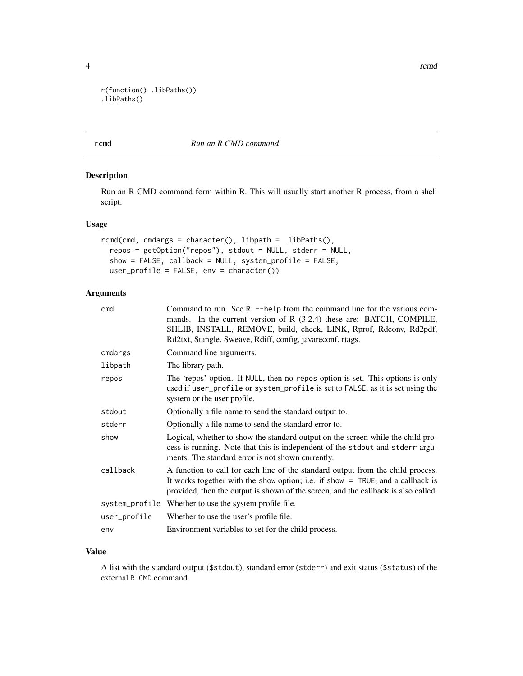```
r(function() .libPaths())
.libPaths()
```
#### <span id="page-3-1"></span>rcmd *Run an R CMD command*

#### Description

Run an R CMD command form within R. This will usually start another R process, from a shell script.

#### Usage

```
rcmd(cmd, cmdargs = character(), libpath = .libPaths(),repos = getOption("repos"), stdout = NULL, stderr = NULL,
  show = FALSE, callback = NULL, system_profile = FALSE,
 user_profile = FALSE, env = character())
```
#### Arguments

| cmd            | Command to run. See $R - \text{help from the command line for the various com-}$<br>mands. In the current version of R (3.2.4) these are: BATCH, COMPILE,<br>SHLIB, INSTALL, REMOVE, build, check, LINK, Rprof, Rdconv, Rd2pdf,<br>Rd2txt, Stangle, Sweave, Rdiff, config, javareconf, rtags. |
|----------------|-----------------------------------------------------------------------------------------------------------------------------------------------------------------------------------------------------------------------------------------------------------------------------------------------|
| cmdargs        | Command line arguments.                                                                                                                                                                                                                                                                       |
| libpath        | The library path.                                                                                                                                                                                                                                                                             |
| repos          | The 'repos' option. If NULL, then no repos option is set. This options is only<br>used if user_profile or system_profile is set to FALSE, as it is set using the<br>system or the user profile.                                                                                               |
| stdout         | Optionally a file name to send the standard output to.                                                                                                                                                                                                                                        |
| stderr         | Optionally a file name to send the standard error to.                                                                                                                                                                                                                                         |
| show           | Logical, whether to show the standard output on the screen while the child pro-<br>cess is running. Note that this is independent of the stdout and stderr argu-<br>ments. The standard error is not shown currently.                                                                         |
| callback       | A function to call for each line of the standard output from the child process.<br>It works together with the show option; i.e. if show $=$ TRUE, and a callback is<br>provided, then the output is shown of the screen, and the callback is also called.                                     |
| system_profile | Whether to use the system profile file.                                                                                                                                                                                                                                                       |
| user_profile   | Whether to use the user's profile file.                                                                                                                                                                                                                                                       |
| env            | Environment variables to set for the child process.                                                                                                                                                                                                                                           |
|                |                                                                                                                                                                                                                                                                                               |

#### Value

A list with the standard output (\$stdout), standard error (stderr) and exit status (\$status) of the external R CMD command.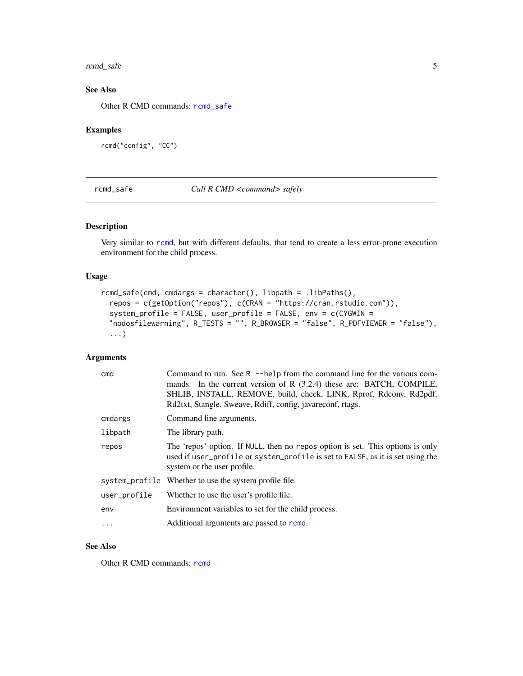#### <span id="page-4-0"></span>rcmd\_safe 5

#### See Also

Other R CMD commands: [rcmd\\_safe](#page-4-1)

#### Examples

```
rcmd("config", "CC")
```
<span id="page-4-1"></span>rcmd\_safe *Call R CMD <command> safely*

#### Description

Very similar to [rcmd](#page-3-1), but with different defaults, that tend to create a less error-prone execution environment for the child process.

#### Usage

```
rcmd_safe(cmd, cmdargs = character(), libpath = .libPaths(),
 repos = c(getOption("repos"), c(CRAN = "https://cran.rstudio.com")),
 system_profile = FALSE, user_profile = FALSE, env = c(CYGWIN =
 "nodosfilewarning", R_TESTS = "", R_BROWSER = "false", R_PDFVIEWER = "false"),
  ...)
```
#### Arguments

| cmd          | Command to run. See R $-$ -help from the command line for the various com-<br>mands. In the current version of R (3.2.4) these are: BATCH, COMPILE,<br>SHLIB, INSTALL, REMOVE, build, check, LINK, Rprof, Rdconv, Rd2pdf,<br>Rd2txt, Stangle, Sweave, Rdiff, config, javareconf, rtags. |
|--------------|-----------------------------------------------------------------------------------------------------------------------------------------------------------------------------------------------------------------------------------------------------------------------------------------|
| cmdargs      | Command line arguments.                                                                                                                                                                                                                                                                 |
| libpath      | The library path.                                                                                                                                                                                                                                                                       |
| repos        | The 'repos' option. If NULL, then no repos option is set. This options is only<br>used if user_profile or system_profile is set to FALSE, as it is set using the<br>system or the user profile.                                                                                         |
|              | system_profile Whether to use the system profile file.                                                                                                                                                                                                                                  |
| user_profile | Whether to use the user's profile file.                                                                                                                                                                                                                                                 |
| env          | Environment variables to set for the child process.                                                                                                                                                                                                                                     |
| $\cdot$      | Additional arguments are passed to rcmd.                                                                                                                                                                                                                                                |
|              |                                                                                                                                                                                                                                                                                         |

#### See Also

Other R CMD commands: [rcmd](#page-3-1)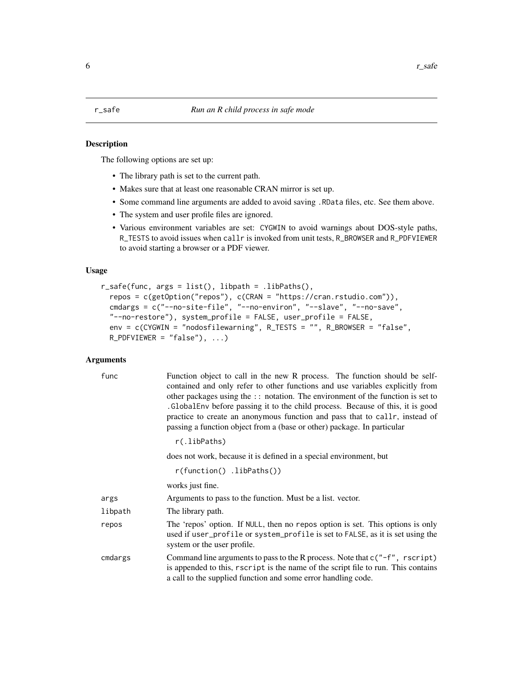#### <span id="page-5-1"></span><span id="page-5-0"></span>Description

The following options are set up:

- The library path is set to the current path.
- Makes sure that at least one reasonable CRAN mirror is set up.
- Some command line arguments are added to avoid saving .RData files, etc. See them above.
- The system and user profile files are ignored.
- Various environment variables are set: CYGWIN to avoid warnings about DOS-style paths, R\_TESTS to avoid issues when callr is invoked from unit tests, R\_BROWSER and R\_PDFVIEWER to avoid starting a browser or a PDF viewer.

#### Usage

```
r_safe(func, args = list(), libpath = .libPaths(),
  repos = c(getOption("repos"), c(CRAN = "https://cran.rstudio.com")),
  cmdargs = c("--no-site-file", "--no-environ", "--slave", "--no-save",
  "--no-restore"), system_profile = FALSE, user_profile = FALSE,
  env = c(CYGWIN = "nodosfilewarning", R_TESTS = "", R_BROWSER = "false",
 R_PPDFVIEWER = "false"), ...)
```
#### Arguments

| func    | Function object to call in the new R process. The function should be self-<br>contained and only refer to other functions and use variables explicitly from<br>other packages using the :: notation. The environment of the function is set to<br>. Global Env before passing it to the child process. Because of this, it is good<br>practice to create an anonymous function and pass that to caller, instead of<br>passing a function object from a (base or other) package. In particular |
|---------|-----------------------------------------------------------------------------------------------------------------------------------------------------------------------------------------------------------------------------------------------------------------------------------------------------------------------------------------------------------------------------------------------------------------------------------------------------------------------------------------------|
|         | r(.libPaths)                                                                                                                                                                                                                                                                                                                                                                                                                                                                                  |
|         | does not work, because it is defined in a special environment, but                                                                                                                                                                                                                                                                                                                                                                                                                            |
|         | $r(function()$ .libPaths())                                                                                                                                                                                                                                                                                                                                                                                                                                                                   |
|         | works just fine.                                                                                                                                                                                                                                                                                                                                                                                                                                                                              |
| args    | Arguments to pass to the function. Must be a list. vector.                                                                                                                                                                                                                                                                                                                                                                                                                                    |
| libpath | The library path.                                                                                                                                                                                                                                                                                                                                                                                                                                                                             |
| repos   | The 'repos' option. If NULL, then no repos option is set. This options is only<br>used if user_profile or system_profile is set to FALSE, as it is set using the<br>system or the user profile.                                                                                                                                                                                                                                                                                               |
| cmdargs | Command line arguments to pass to the R process. Note that $c("-f",$ r script)<br>is appended to this, rscript is the name of the script file to run. This contains<br>a call to the supplied function and some error handling code.                                                                                                                                                                                                                                                          |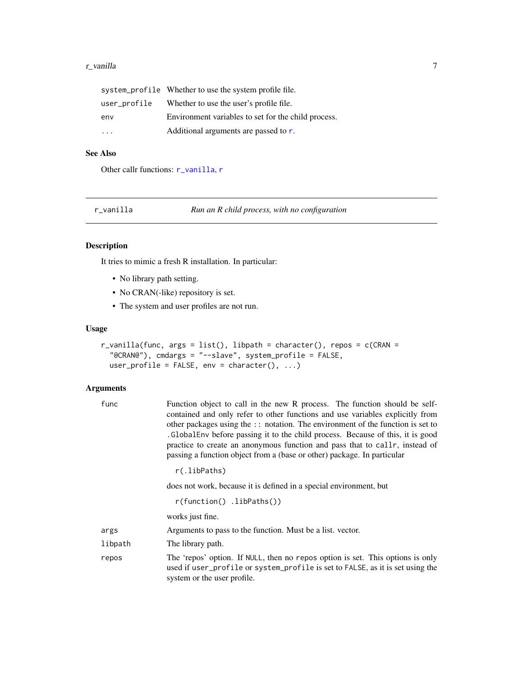#### <span id="page-6-0"></span>r\_vanilla 2000 a.C. 2000 a.C. 2000 a.C. 2000 a.C. 2000 a.C. 2000 a.C. 2000 a.C. 2000 a.C. 2000 a.C. 2000 a.C. 2000 a.C. 2000 a.C. 2000 a.C. 2000 a.C. 2000 a.C. 2000 a.C. 2000 a.C. 2000 a.C. 2000 a.C. 2000 a.C. 2000 a.C. 20

|                         | system_profile Whether to use the system profile file. |
|-------------------------|--------------------------------------------------------|
| user_profile            | Whether to use the user's profile file.                |
| env                     | Environment variables to set for the child process.    |
| $\cdot$ $\cdot$ $\cdot$ | Additional arguments are passed to r.                  |

#### See Also

Other callr functions: [r\\_vanilla](#page-6-1), [r](#page-1-1)

<span id="page-6-1"></span>r\_vanilla *Run an R child process, with no configuration*

#### Description

It tries to mimic a fresh R installation. In particular:

- No library path setting.
- No CRAN(-like) repository is set.
- The system and user profiles are not run.

#### Usage

```
r_vanilla(func, args = list(), libpath = character(), repos = c(CRAN =
 "@CRAN@"), cmdargs = "--slave", system_profile = FALSE,
 user_profile = FALSE, env = character(), ...)
```
#### Arguments

| func    | Function object to call in the new R process. The function should be self-<br>contained and only refer to other functions and use variables explicitly from<br>other packages using the :: notation. The environment of the function is set to<br>. GlobalEnv before passing it to the child process. Because of this, it is good<br>practice to create an anonymous function and pass that to callr, instead of<br>passing a function object from a (base or other) package. In particular |
|---------|---------------------------------------------------------------------------------------------------------------------------------------------------------------------------------------------------------------------------------------------------------------------------------------------------------------------------------------------------------------------------------------------------------------------------------------------------------------------------------------------|
|         | r(.libPaths)                                                                                                                                                                                                                                                                                                                                                                                                                                                                                |
|         | does not work, because it is defined in a special environment, but                                                                                                                                                                                                                                                                                                                                                                                                                          |
|         | $r(function()$ .libPaths())                                                                                                                                                                                                                                                                                                                                                                                                                                                                 |
|         | works just fine.                                                                                                                                                                                                                                                                                                                                                                                                                                                                            |
| args    | Arguments to pass to the function. Must be a list, vector.                                                                                                                                                                                                                                                                                                                                                                                                                                  |
| libpath | The library path.                                                                                                                                                                                                                                                                                                                                                                                                                                                                           |
| repos   | The 'repos' option. If NULL, then no repos option is set. This options is only<br>used if user_profile or system_profile is set to FALSE, as it is set using the<br>system or the user profile.                                                                                                                                                                                                                                                                                             |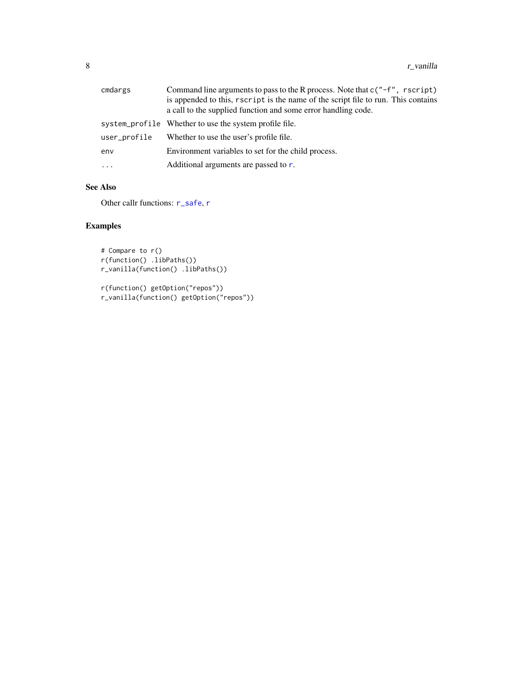<span id="page-7-0"></span>

| cmdargs      | Command line arguments to pass to the R process. Note that $c''-f''$ , rscript)    |
|--------------|------------------------------------------------------------------------------------|
|              | is appended to this, r script is the name of the script file to run. This contains |
|              | a call to the supplied function and some error handling code.                      |
|              | system_profile Whether to use the system profile file.                             |
| user_profile | Whether to use the user's profile file.                                            |
| env          | Environment variables to set for the child process.                                |
| $\cdots$     | Additional arguments are passed to r.                                              |

#### See Also

Other callr functions: [r\\_safe](#page-5-1), [r](#page-1-1)

#### Examples

```
# Compare to r()
r(function() .libPaths())
r_vanilla(function() .libPaths())
```

```
r(function() getOption("repos"))
r_vanilla(function() getOption("repos"))
```